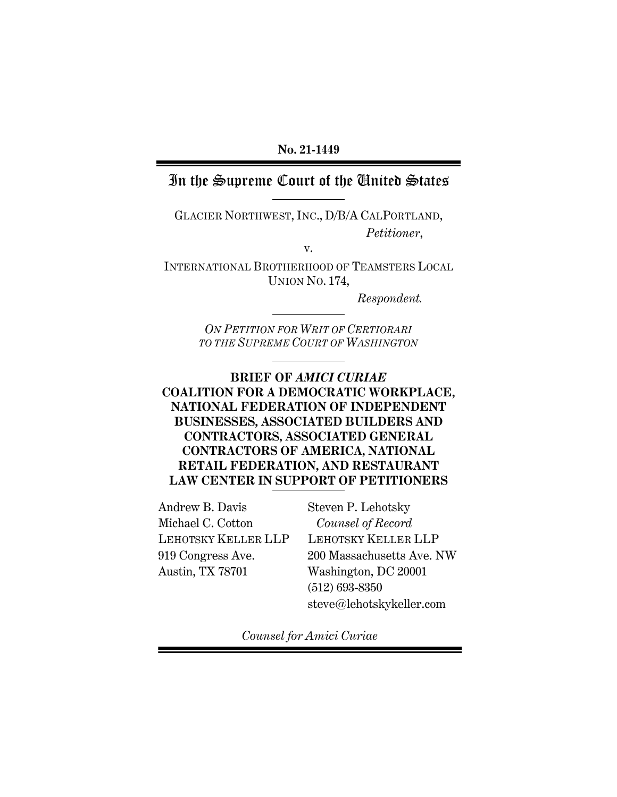# In the Supreme Court of the United States

GLACIER NORTHWEST, INC., D/B/A CALPORTLAND, *Petitioner*,

v.

INTERNATIONAL BROTHERHOOD OF TEAMSTERS LOCAL UNION NO. 174,

*Respondent.*

*ON PETITION FOR WRIT OF CERTIORARI TO THE SUPREME COURT OF WASHINGTON*

# **BRIEF OF** *AMICI CURIAE* **COALITION FOR A DEMOCRATIC WORKPLACE, NATIONAL FEDERATION OF INDEPENDENT BUSINESSES, ASSOCIATED BUILDERS AND CONTRACTORS, ASSOCIATED GENERAL CONTRACTORS OF AMERICA, NATIONAL RETAIL FEDERATION, AND RESTAURANT LAW CENTER IN SUPPORT OF PETITIONERS**

Andrew B. Davis Michael C. Cotton LEHOTSKY KELLER LLP 919 Congress Ave. Austin, TX 78701

Steven P. Lehotsky *Counsel of Record* LEHOTSKY KELLER LLP 200 Massachusetts Ave. NW Washington, DC 20001 (512) 693-8350 steve@lehotskykeller.com

*Counsel for Amici Curiae*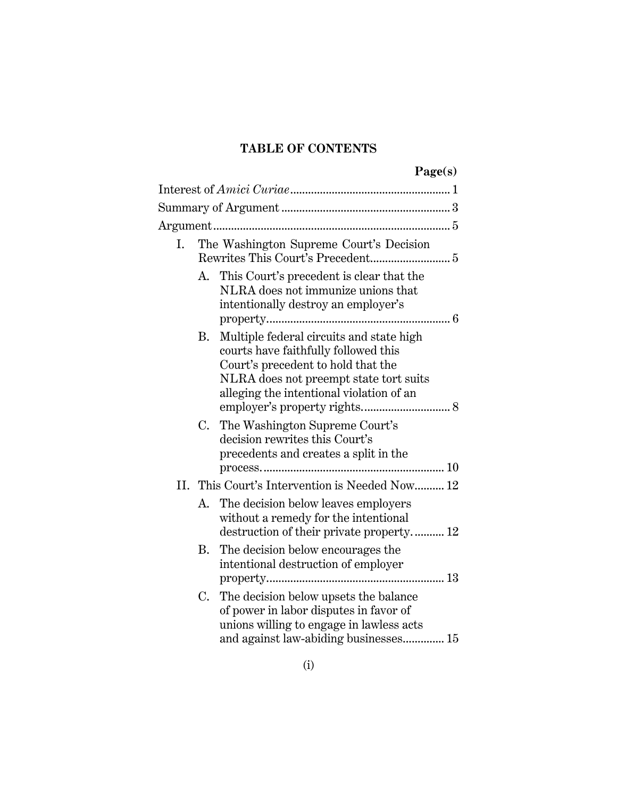# **TABLE OF CONTENTS**

| ١ſ.<br>p.<br>m<br>S.<br>. – |
|-----------------------------|
|                             |

| I.  | The Washington Supreme Court's Decision    |                                                                                                                                                                                                              |
|-----|--------------------------------------------|--------------------------------------------------------------------------------------------------------------------------------------------------------------------------------------------------------------|
|     | А.                                         | This Court's precedent is clear that the<br>NLRA does not immunize unions that<br>intentionally destroy an employer's                                                                                        |
|     | В.                                         | Multiple federal circuits and state high<br>courts have faithfully followed this<br>Court's precedent to hold that the<br>NLRA does not preempt state tort suits<br>alleging the intentional violation of an |
|     | C.                                         | The Washington Supreme Court's<br>decision rewrites this Court's<br>precedents and creates a split in the                                                                                                    |
| II. | This Court's Intervention is Needed Now 12 |                                                                                                                                                                                                              |
|     | А.                                         | The decision below leaves employers<br>without a remedy for the intentional<br>destruction of their private property 12                                                                                      |
|     | В.                                         | The decision below encourages the<br>intentional destruction of employer                                                                                                                                     |
|     | C.                                         | The decision below upsets the balance<br>of power in labor disputes in favor of<br>unions willing to engage in lawless acts<br>and against law-abiding businesses 15                                         |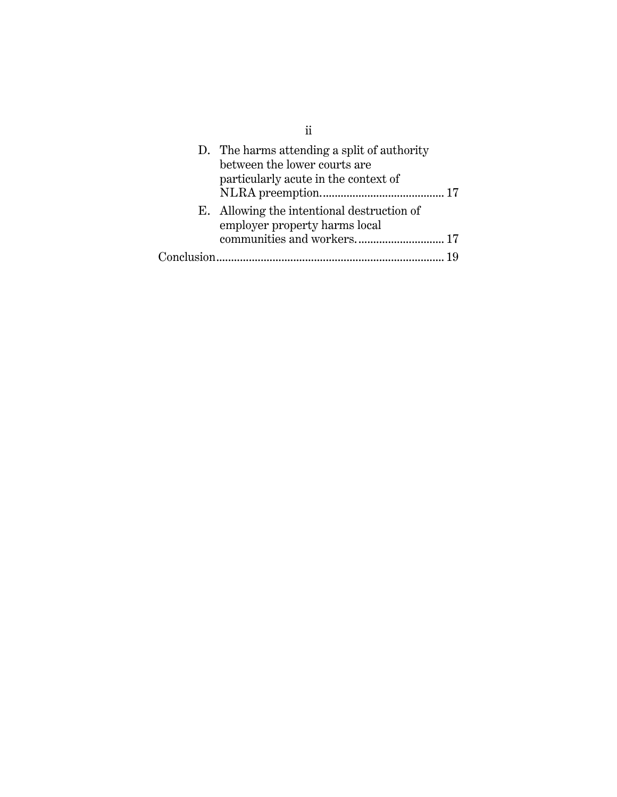| D. The harms attending a split of authority<br>between the lower courts are<br>particularly acute in the context of |  |
|---------------------------------------------------------------------------------------------------------------------|--|
| E. Allowing the intentional destruction of<br>employer property harms local                                         |  |
| communities and workers 17                                                                                          |  |
|                                                                                                                     |  |

ii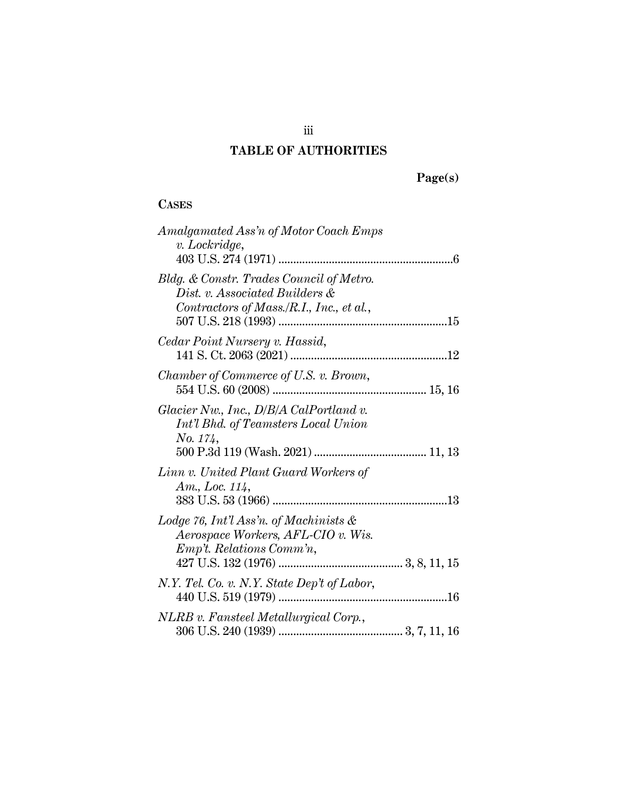# **TABLE OF AUTHORITIES**

# **CASES**

| Amalgamated Ass'n of Motor Coach Emps<br>v. Lockridge,                                                                 |
|------------------------------------------------------------------------------------------------------------------------|
| Bldg. & Constr. Trades Council of Metro.<br>Dist. v. Associated Builders &<br>Contractors of Mass./R.I., Inc., et al., |
| Cedar Point Nursery v. Hassid,                                                                                         |
| Chamber of Commerce of U.S. v. Brown,                                                                                  |
| Glacier Nw., Inc., $D/B/A$ CalPortland v.<br>Int'l Bhd. of Teamsters Local Union<br>No. 174,                           |
| Linn v. United Plant Guard Workers of<br>Am., Loc. $114$ ,                                                             |
| Lodge 76, Int'l Ass'n. of Machinists &<br>Aerospace Workers, AFL-CIO v. Wis.<br>Emp't. Relations Comm'n,               |
| N.Y. Tel. Co. v. N.Y. State Dep't of Labor,                                                                            |
| NLRB v. Fansteel Metallurgical Corp.,                                                                                  |

iii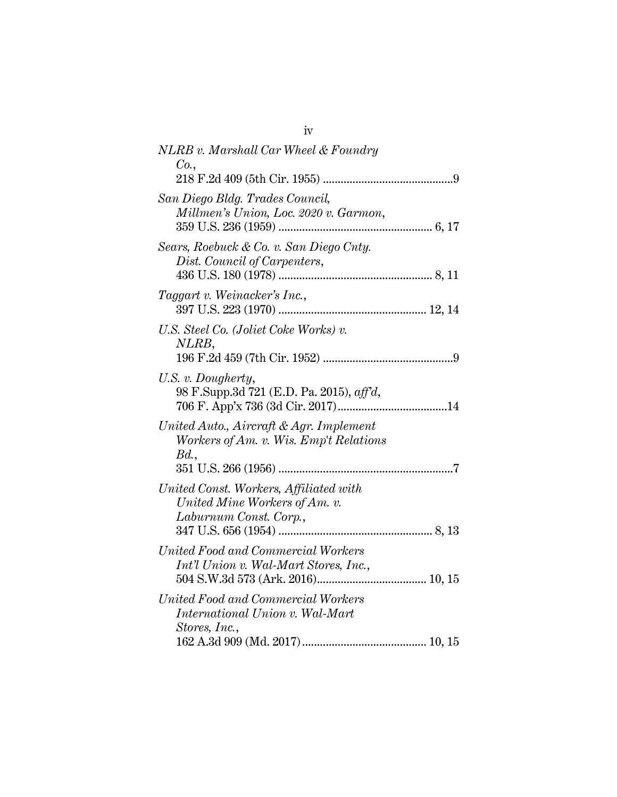iv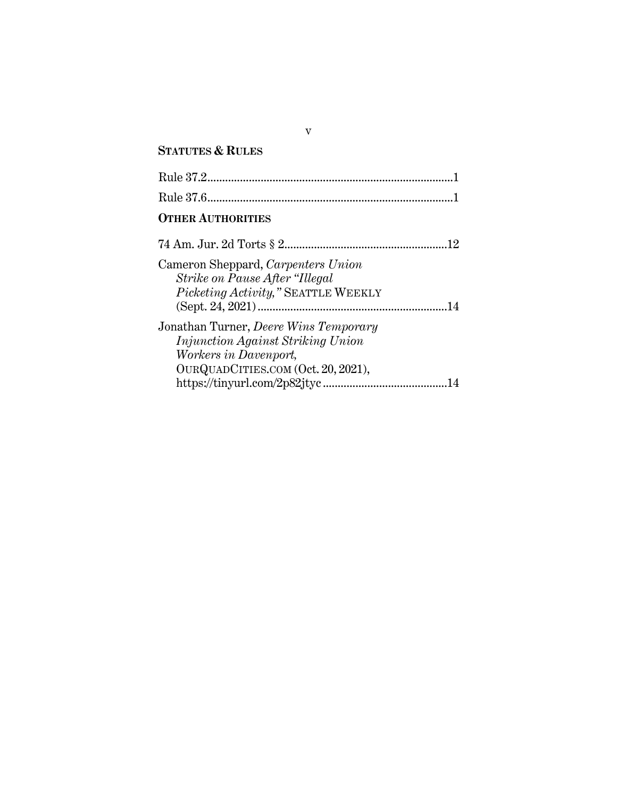# **STATUTES & RULES**

v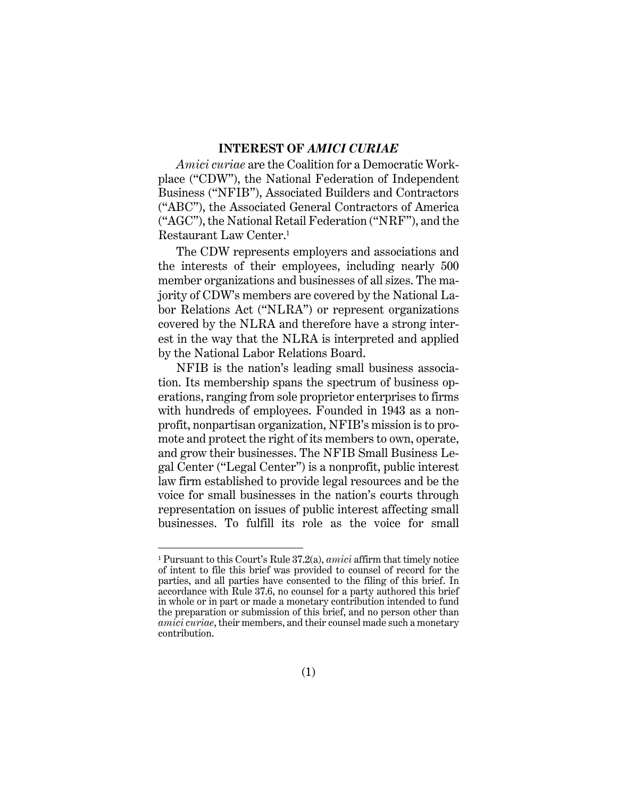#### **INTEREST OF** *AMICI CURIAE*

<span id="page-6-0"></span>*Amici curiae* are the Coalition for a Democratic Workplace ("CDW"), the National Federation of Independent Business ("NFIB"), Associated Builders and Contractors ("ABC"), the Associated General Contractors of America ("AGC"), the National Retail Federation ("NRF"), and the Restaurant Law Center.<sup>1</sup>

The CDW represents employers and associations and the interests of their employees, including nearly 500 member organizations and businesses of all sizes. The majority of CDW's members are covered by the National Labor Relations Act ("NLRA") or represent organizations covered by the NLRA and therefore have a strong interest in the way that the NLRA is interpreted and applied by the National Labor Relations Board.

NFIB is the nation's leading small business association. Its membership spans the spectrum of business operations, ranging from sole proprietor enterprises to firms with hundreds of employees. Founded in 1943 as a nonprofit, nonpartisan organization, NFIB's mission is to promote and protect the right of its members to own, operate, and grow their businesses. The NFIB Small Business Legal Center ("Legal Center") is a nonprofit, public interest law firm established to provide legal resources and be the voice for small businesses in the nation's courts through representation on issues of public interest affecting small businesses. To fulfill its role as the voice for small

<sup>1</sup> Pursuant to this Court's Rule 37.2(a), *amici* affirm that timely notice of intent to file this brief was provided to counsel of record for the parties, and all parties have consented to the filing of this brief. In accordance with Rule 37.6, no counsel for a party authored this brief in whole or in part or made a monetary contribution intended to fund the preparation or submission of this brief, and no person other than *amici curiae*, their members, and their counsel made such a monetary contribution.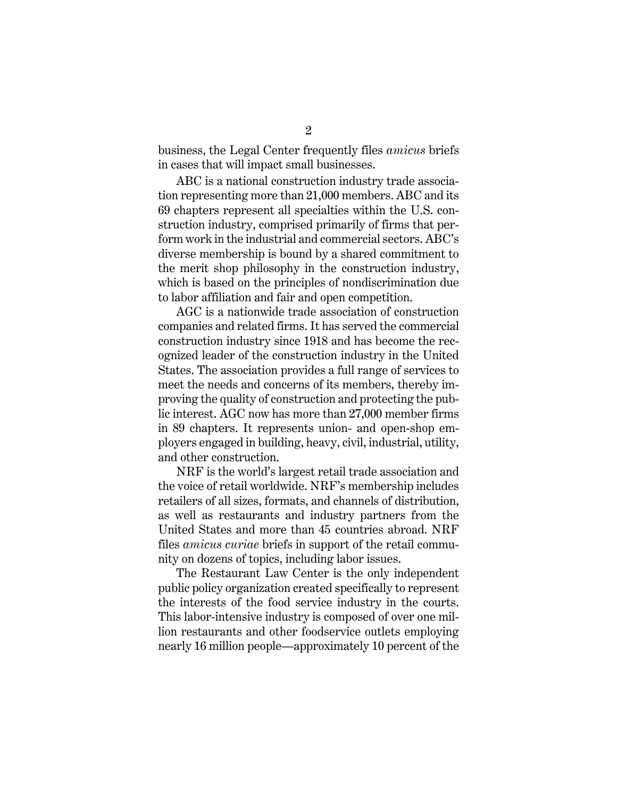business, the Legal Center frequently files *amicus* briefs in cases that will impact small businesses.

ABC is a national construction industry trade association representing more than 21,000 members. ABC and its 69 chapters represent all specialties within the U.S. construction industry, comprised primarily of firms that perform work in the industrial and commercial sectors. ABC's diverse membership is bound by a shared commitment to the merit shop philosophy in the construction industry, which is based on the principles of nondiscrimination due to labor affiliation and fair and open competition.

AGC is a nationwide trade association of construction companies and related firms. It has served the commercial construction industry since 1918 and has become the recognized leader of the construction industry in the United States. The association provides a full range of services to meet the needs and concerns of its members, thereby improving the quality of construction and protecting the public interest. AGC now has more than 27,000 member firms in 89 chapters. It represents union- and open-shop employers engaged in building, heavy, civil, industrial, utility, and other construction.

NRF is the world's largest retail trade association and the voice of retail worldwide. NRF's membership includes retailers of all sizes, formats, and channels of distribution, as well as restaurants and industry partners from the United States and more than 45 countries abroad. NRF files *amicus curiae* briefs in support of the retail community on dozens of topics, including labor issues.

The Restaurant Law Center is the only independent public policy organization created specifically to represent the interests of the food service industry in the courts. This labor-intensive industry is composed of over one million restaurants and other foodservice outlets employing nearly 16 million people—approximately 10 percent of the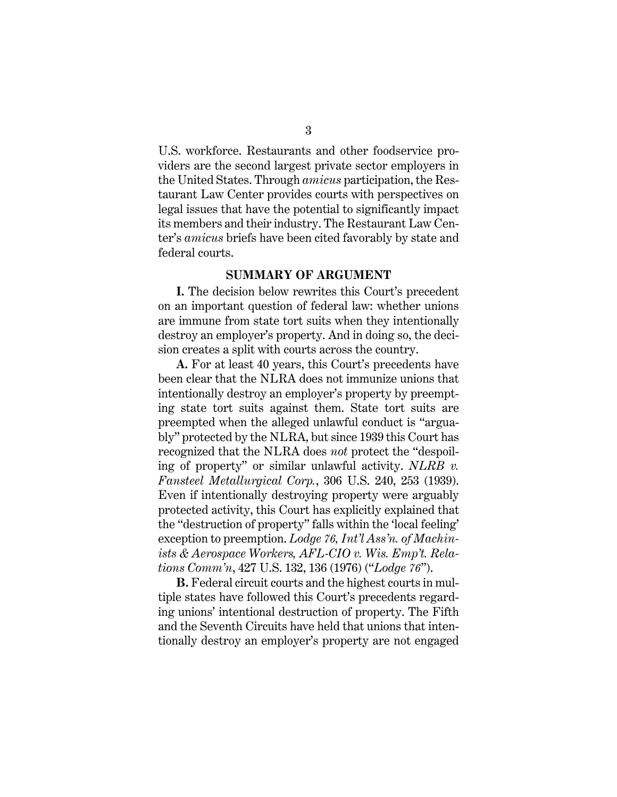U.S. workforce. Restaurants and other foodservice providers are the second largest private sector employers in the United States. Through *amicus* participation, the Restaurant Law Center provides courts with perspectives on legal issues that have the potential to significantly impact its members and their industry. The Restaurant Law Center's *amicus* briefs have been cited favorably by state and federal courts.

#### **SUMMARY OF ARGUMENT**

<span id="page-8-0"></span>**I.** The decision below rewrites this Court's precedent on an important question of federal law: whether unions are immune from state tort suits when they intentionally destroy an employer's property. And in doing so, the decision creates a split with courts across the country.

**A.** For at least 40 years, this Court's precedents have been clear that the NLRA does not immunize unions that intentionally destroy an employer's property by preempting state tort suits against them. State tort suits are preempted when the alleged unlawful conduct is "arguably" protected by the NLRA, but since 1939 this Court has recognized that the NLRA does *not* protect the "despoiling of property" or similar unlawful activity. *NLRB v. Fansteel Metallurgical Corp.*, 306 U.S. 240, 253 (1939). Even if intentionally destroying property were arguably protected activity, this Court has explicitly explained that the "destruction of property" falls within the 'local feeling' exception to preemption. *Lodge 76, Int'l Ass'n. of Machinists & Aerospace Workers, AFL-CIO v. Wis. Emp't. Relations Comm'n*, 427 U.S. 132, 136 (1976) ("*Lodge 76*").

**B.** Federal circuit courts and the highest courts in multiple states have followed this Court's precedents regarding unions' intentional destruction of property. The Fifth and the Seventh Circuits have held that unions that intentionally destroy an employer's property are not engaged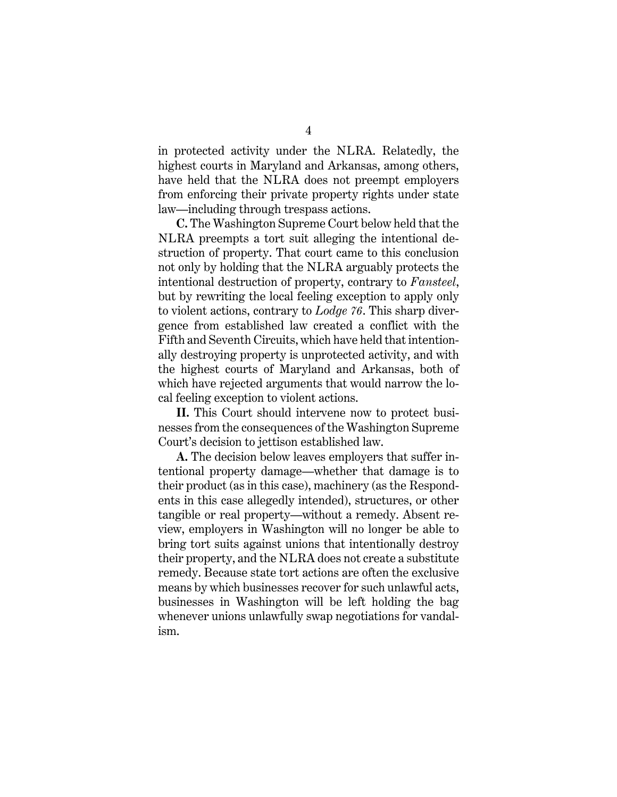in protected activity under the NLRA. Relatedly, the highest courts in Maryland and Arkansas, among others, have held that the NLRA does not preempt employers from enforcing their private property rights under state law—including through trespass actions.

**C.** The Washington Supreme Court below held that the NLRA preempts a tort suit alleging the intentional destruction of property. That court came to this conclusion not only by holding that the NLRA arguably protects the intentional destruction of property, contrary to *Fansteel*, but by rewriting the local feeling exception to apply only to violent actions, contrary to *Lodge 76*. This sharp divergence from established law created a conflict with the Fifth and Seventh Circuits, which have held that intentionally destroying property is unprotected activity, and with the highest courts of Maryland and Arkansas, both of which have rejected arguments that would narrow the local feeling exception to violent actions.

**II.** This Court should intervene now to protect businesses from the consequences of the Washington Supreme Court's decision to jettison established law.

**A.** The decision below leaves employers that suffer intentional property damage—whether that damage is to their product (as in this case), machinery (as the Respondents in this case allegedly intended), structures, or other tangible or real property—without a remedy. Absent review, employers in Washington will no longer be able to bring tort suits against unions that intentionally destroy their property, and the NLRA does not create a substitute remedy. Because state tort actions are often the exclusive means by which businesses recover for such unlawful acts, businesses in Washington will be left holding the bag whenever unions unlawfully swap negotiations for vandalism.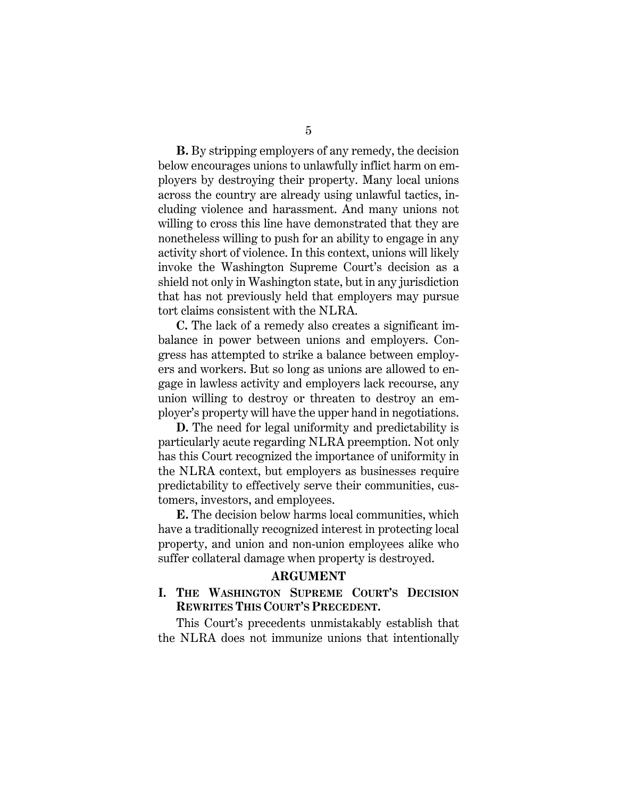**B.** By stripping employers of any remedy, the decision below encourages unions to unlawfully inflict harm on employers by destroying their property. Many local unions across the country are already using unlawful tactics, including violence and harassment. And many unions not willing to cross this line have demonstrated that they are nonetheless willing to push for an ability to engage in any activity short of violence. In this context, unions will likely invoke the Washington Supreme Court's decision as a shield not only in Washington state, but in any jurisdiction that has not previously held that employers may pursue tort claims consistent with the NLRA.

**C.** The lack of a remedy also creates a significant imbalance in power between unions and employers. Congress has attempted to strike a balance between employers and workers. But so long as unions are allowed to engage in lawless activity and employers lack recourse, any union willing to destroy or threaten to destroy an employer's property will have the upper hand in negotiations.

**D.** The need for legal uniformity and predictability is particularly acute regarding NLRA preemption. Not only has this Court recognized the importance of uniformity in the NLRA context, but employers as businesses require predictability to effectively serve their communities, customers, investors, and employees.

**E.** The decision below harms local communities, which have a traditionally recognized interest in protecting local property, and union and non-union employees alike who suffer collateral damage when property is destroyed.

#### **ARGUMENT**

#### <span id="page-10-1"></span><span id="page-10-0"></span>**I. THE WASHINGTON SUPREME COURT'S DECISION REWRITES THIS COURT'S PRECEDENT.**

This Court's precedents unmistakably establish that the NLRA does not immunize unions that intentionally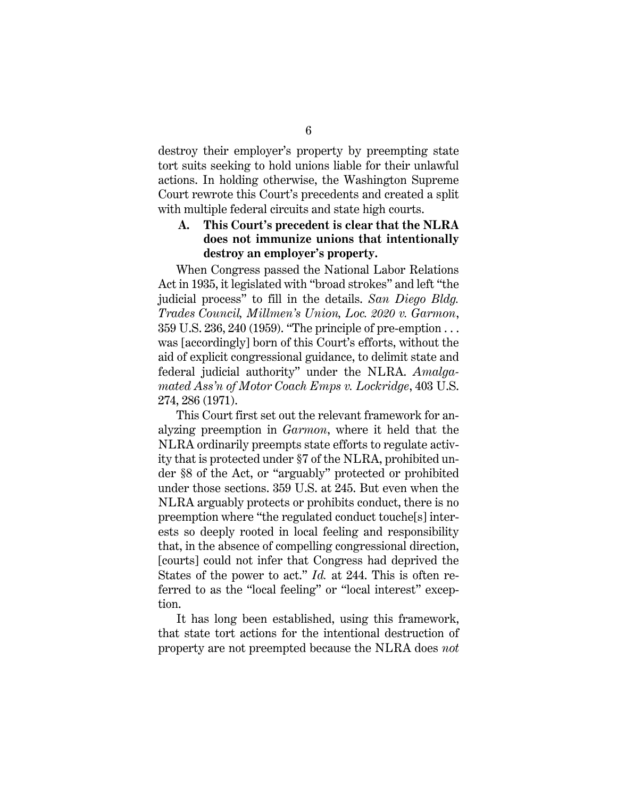destroy their employer's property by preempting state tort suits seeking to hold unions liable for their unlawful actions. In holding otherwise, the Washington Supreme Court rewrote this Court's precedents and created a split with multiple federal circuits and state high courts.

### <span id="page-11-0"></span>**A. This Court's precedent is clear that the NLRA does not immunize unions that intentionally destroy an employer's property.**

When Congress passed the National Labor Relations Act in 1935, it legislated with "broad strokes" and left "the judicial process" to fill in the details. *San Diego Bldg. Trades Council, Millmen's Union, Loc. 2020 v. Garmon*, 359 U.S. 236, 240 (1959). "The principle of pre-emption . . . was [accordingly] born of this Court's efforts, without the aid of explicit congressional guidance, to delimit state and federal judicial authority" under the NLRA. *Amalgamated Ass'n of Motor Coach Emps v. Lockridge*, 403 U.S. 274, 286 (1971).

This Court first set out the relevant framework for analyzing preemption in *Garmon*, where it held that the NLRA ordinarily preempts state efforts to regulate activity that is protected under §7 of the NLRA, prohibited under §8 of the Act, or "arguably" protected or prohibited under those sections. 359 U.S. at 245. But even when the NLRA arguably protects or prohibits conduct, there is no preemption where "the regulated conduct touche[s] interests so deeply rooted in local feeling and responsibility that, in the absence of compelling congressional direction, [courts] could not infer that Congress had deprived the States of the power to act." *Id.* at 244. This is often referred to as the "local feeling" or "local interest" exception.

It has long been established, using this framework, that state tort actions for the intentional destruction of property are not preempted because the NLRA does *not*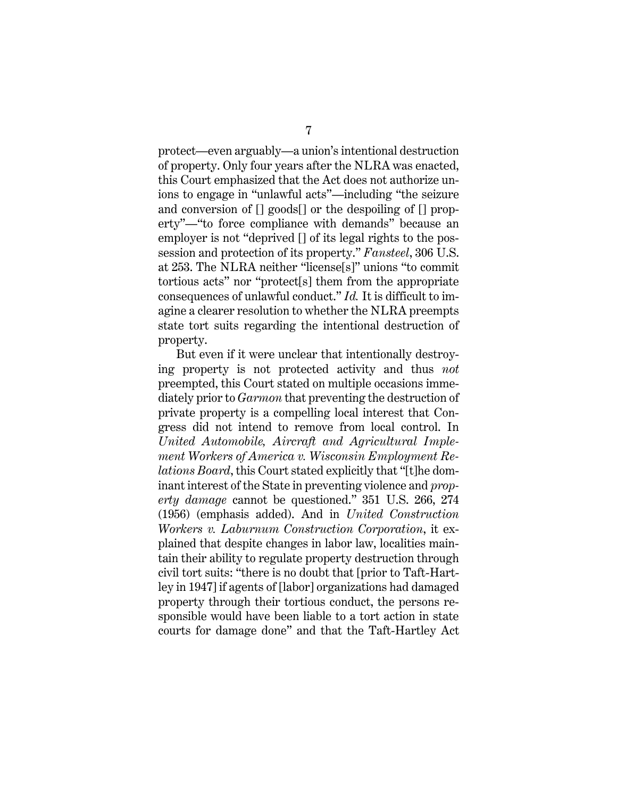protect—even arguably—a union's intentional destruction of property. Only four years after the NLRA was enacted, this Court emphasized that the Act does not authorize unions to engage in "unlawful acts"—including "the seizure and conversion of [] goods[] or the despoiling of [] property"—"to force compliance with demands" because an employer is not "deprived [] of its legal rights to the possession and protection of its property." *Fansteel*, 306 U.S. at 253. The NLRA neither "license[s]" unions "to commit tortious acts" nor "protect[s] them from the appropriate consequences of unlawful conduct." *Id.* It is difficult to imagine a clearer resolution to whether the NLRA preempts state tort suits regarding the intentional destruction of property.

But even if it were unclear that intentionally destroying property is not protected activity and thus *not*  preempted, this Court stated on multiple occasions immediately prior to *Garmon* that preventing the destruction of private property is a compelling local interest that Congress did not intend to remove from local control. In *United Automobile, Aircraft and Agricultural Implement Workers of America v. Wisconsin Employment Relations Board*, this Court stated explicitly that "[t]he dominant interest of the State in preventing violence and *property damage* cannot be questioned." 351 U.S. 266, 274 (1956) (emphasis added). And in *United Construction Workers v. Laburnum Construction Corporation*, it explained that despite changes in labor law, localities maintain their ability to regulate property destruction through civil tort suits: "there is no doubt that [prior to Taft-Hartley in 1947] if agents of [labor] organizations had damaged property through their tortious conduct, the persons responsible would have been liable to a tort action in state courts for damage done" and that the Taft-Hartley Act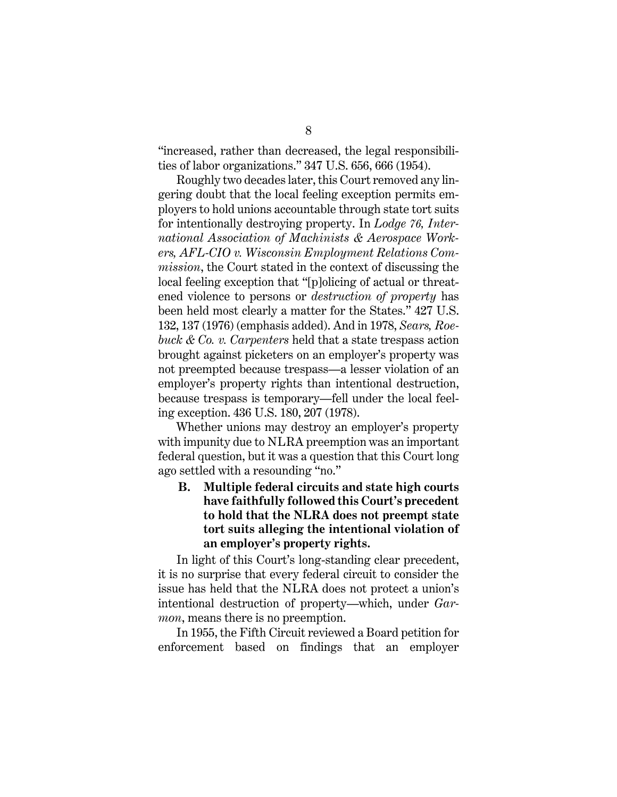"increased, rather than decreased, the legal responsibilities of labor organizations." 347 U.S. 656, 666 (1954).

Roughly two decades later, this Court removed any lingering doubt that the local feeling exception permits employers to hold unions accountable through state tort suits for intentionally destroying property. In *Lodge 76, International Association of Machinists & Aerospace Workers, AFL-CIO v. Wisconsin Employment Relations Commission*, the Court stated in the context of discussing the local feeling exception that "[p]olicing of actual or threatened violence to persons or *destruction of property* has been held most clearly a matter for the States." 427 U.S. 132, 137 (1976) (emphasis added). And in 1978, *Sears, Roebuck & Co. v. Carpenters* held that a state trespass action brought against picketers on an employer's property was not preempted because trespass—a lesser violation of an employer's property rights than intentional destruction, because trespass is temporary—fell under the local feeling exception. 436 U.S. 180, 207 (1978).

Whether unions may destroy an employer's property with impunity due to NLRA preemption was an important federal question, but it was a question that this Court long ago settled with a resounding "no."

## <span id="page-13-0"></span>**B. Multiple federal circuits and state high courts have faithfully followed this Court's precedent to hold that the NLRA does not preempt state tort suits alleging the intentional violation of an employer's property rights.**

In light of this Court's long-standing clear precedent, it is no surprise that every federal circuit to consider the issue has held that the NLRA does not protect a union's intentional destruction of property—which, under *Garmon*, means there is no preemption.

In 1955, the Fifth Circuit reviewed a Board petition for enforcement based on findings that an employer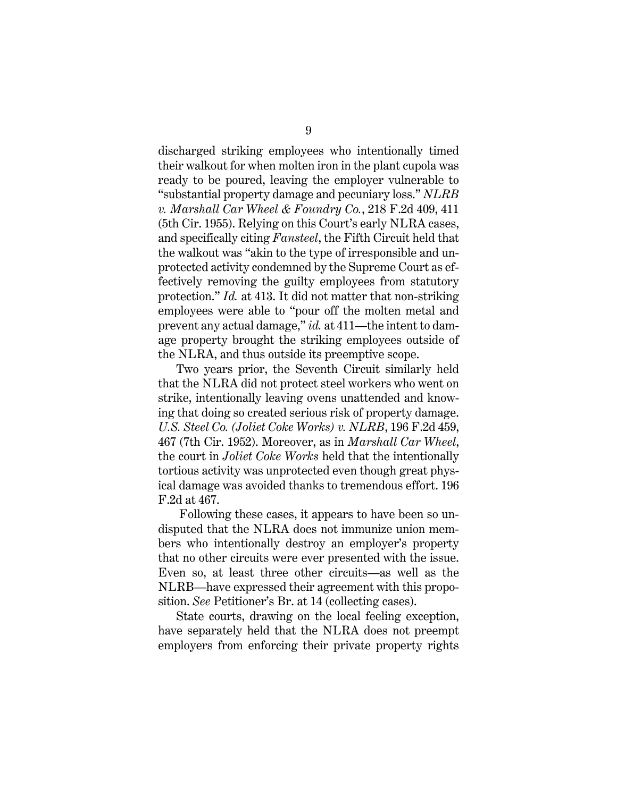discharged striking employees who intentionally timed their walkout for when molten iron in the plant cupola was ready to be poured, leaving the employer vulnerable to "substantial property damage and pecuniary loss." *NLRB v. Marshall Car Wheel & Foundry Co.*, 218 F.2d 409, 411 (5th Cir. 1955). Relying on this Court's early NLRA cases, and specifically citing *Fansteel*, the Fifth Circuit held that the walkout was "akin to the type of irresponsible and unprotected activity condemned by the Supreme Court as effectively removing the guilty employees from statutory protection." *Id.* at 413. It did not matter that non-striking employees were able to "pour off the molten metal and prevent any actual damage," *id.* at 411—the intent to damage property brought the striking employees outside of the NLRA, and thus outside its preemptive scope.

Two years prior, the Seventh Circuit similarly held that the NLRA did not protect steel workers who went on strike, intentionally leaving ovens unattended and knowing that doing so created serious risk of property damage. *U.S. Steel Co. (Joliet Coke Works) v. NLRB*, 196 F.2d 459, 467 (7th Cir. 1952). Moreover, as in *Marshall Car Wheel*, the court in *Joliet Coke Works* held that the intentionally tortious activity was unprotected even though great physical damage was avoided thanks to tremendous effort. 196 F.2d at 467.

Following these cases, it appears to have been so undisputed that the NLRA does not immunize union members who intentionally destroy an employer's property that no other circuits were ever presented with the issue. Even so, at least three other circuits—as well as the NLRB—have expressed their agreement with this proposition. *See* Petitioner's Br. at 14 (collecting cases).

State courts, drawing on the local feeling exception, have separately held that the NLRA does not preempt employers from enforcing their private property rights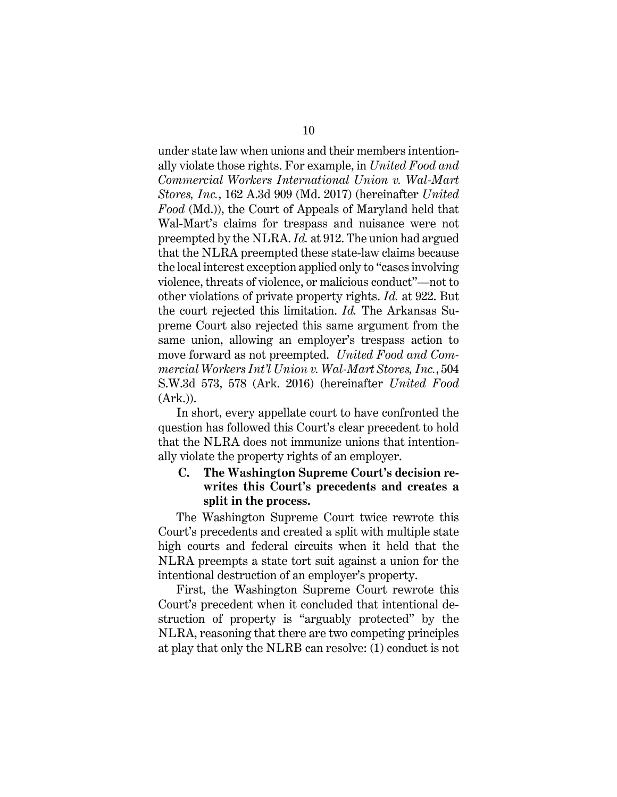under state law when unions and their members intentionally violate those rights. For example, in *United Food and Commercial Workers International Union v. Wal-Mart Stores, Inc.*, 162 A.3d 909 (Md. 2017) (hereinafter *United Food* (Md.)), the Court of Appeals of Maryland held that Wal-Mart's claims for trespass and nuisance were not preempted by the NLRA. *Id.* at 912. The union had argued that the NLRA preempted these state-law claims because the local interest exception applied only to "cases involving violence, threats of violence, or malicious conduct"—not to other violations of private property rights. *Id.* at 922. But the court rejected this limitation. *Id.* The Arkansas Supreme Court also rejected this same argument from the same union, allowing an employer's trespass action to move forward as not preempted. *United Food and Commercial Workers Int'l Union v. Wal-Mart Stores, Inc.*, 504 S.W.3d 573, 578 (Ark. 2016) (hereinafter *United Food*  (Ark.)).

In short, every appellate court to have confronted the question has followed this Court's clear precedent to hold that the NLRA does not immunize unions that intentionally violate the property rights of an employer.

### <span id="page-15-0"></span>**C. The Washington Supreme Court's decision rewrites this Court's precedents and creates a split in the process.**

The Washington Supreme Court twice rewrote this Court's precedents and created a split with multiple state high courts and federal circuits when it held that the NLRA preempts a state tort suit against a union for the intentional destruction of an employer's property.

First, the Washington Supreme Court rewrote this Court's precedent when it concluded that intentional destruction of property is "arguably protected" by the NLRA, reasoning that there are two competing principles at play that only the NLRB can resolve: (1) conduct is not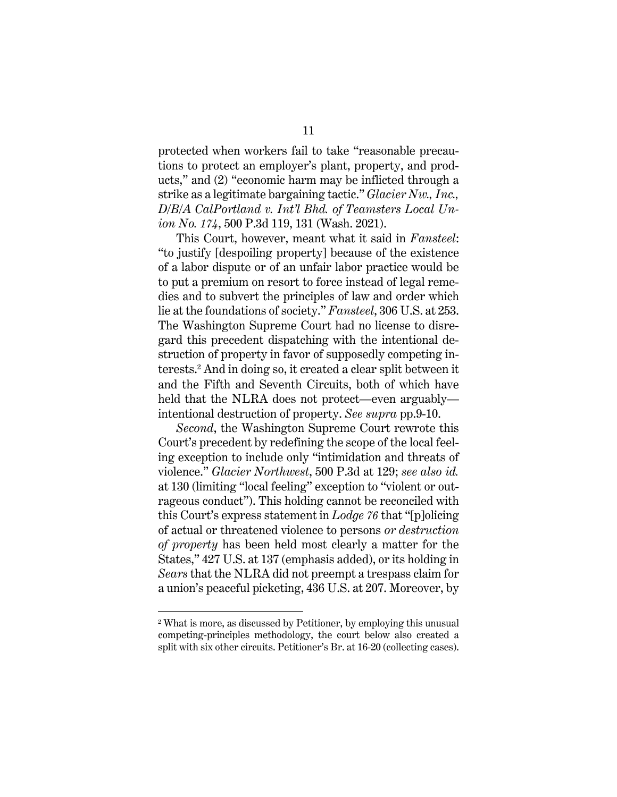protected when workers fail to take "reasonable precautions to protect an employer's plant, property, and products," and (2) "economic harm may be inflicted through a strike as a legitimate bargaining tactic." *Glacier Nw., Inc., D/B/A CalPortland v. Int'l Bhd. of Teamsters Local Union No. 174*, 500 P.3d 119, 131 (Wash. 2021).

This Court, however, meant what it said in *Fansteel*: "to justify [despoiling property] because of the existence of a labor dispute or of an unfair labor practice would be to put a premium on resort to force instead of legal remedies and to subvert the principles of law and order which lie at the foundations of society." *Fansteel*, 306 U.S. at 253. The Washington Supreme Court had no license to disregard this precedent dispatching with the intentional destruction of property in favor of supposedly competing interests.<sup>2</sup> And in doing so, it created a clear split between it and the Fifth and Seventh Circuits, both of which have held that the NLRA does not protect—even arguably intentional destruction of property. *See supra* pp.9-10.

*Second*, the Washington Supreme Court rewrote this Court's precedent by redefining the scope of the local feeling exception to include only "intimidation and threats of violence." *Glacier Northwest*, 500 P.3d at 129; *see also id.*  at 130 (limiting "local feeling" exception to "violent or outrageous conduct"). This holding cannot be reconciled with this Court's express statement in *Lodge 76* that "[p]olicing of actual or threatened violence to persons *or destruction of property* has been held most clearly a matter for the States," 427 U.S. at 137 (emphasis added), or its holding in *Sears* that the NLRA did not preempt a trespass claim for a union's peaceful picketing, 436 U.S. at 207. Moreover, by

<sup>2</sup> What is more, as discussed by Petitioner, by employing this unusual competing-principles methodology, the court below also created a split with six other circuits. Petitioner's Br. at 16-20 (collecting cases).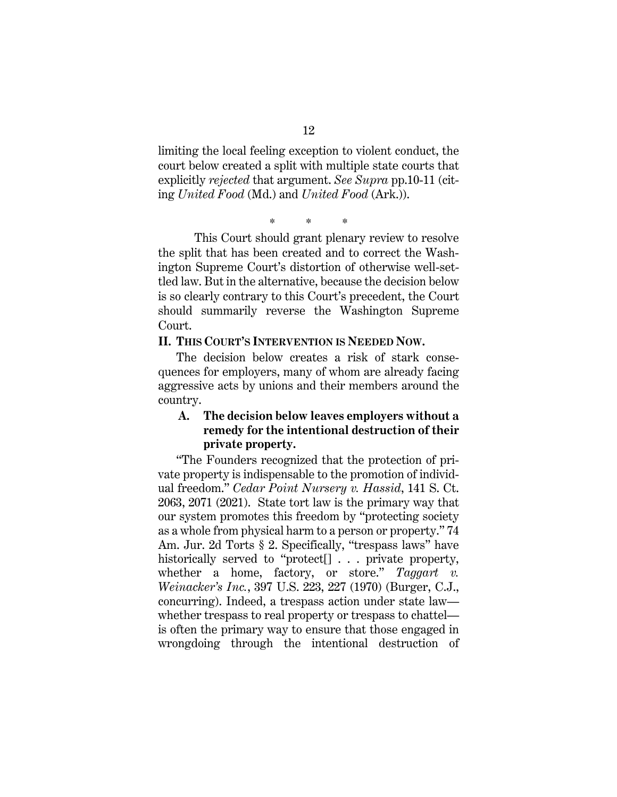limiting the local feeling exception to violent conduct, the court below created a split with multiple state courts that explicitly *rejected* that argument. *See Supra* pp.10-11 (citing *United Food* (Md.) and *United Food* (Ark.)).

\* \* \*

This Court should grant plenary review to resolve the split that has been created and to correct the Washington Supreme Court's distortion of otherwise well-settled law. But in the alternative, because the decision below is so clearly contrary to this Court's precedent, the Court should summarily reverse the Washington Supreme Court.

#### <span id="page-17-0"></span>**II. THIS COURT'S INTERVENTION IS NEEDED NOW.**

The decision below creates a risk of stark consequences for employers, many of whom are already facing aggressive acts by unions and their members around the country.

### <span id="page-17-1"></span>**A. The decision below leaves employers without a remedy for the intentional destruction of their private property.**

"The Founders recognized that the protection of private property is indispensable to the promotion of individual freedom." *Cedar Point Nursery v. Hassid*, 141 S. Ct. 2063, 2071 (2021). State tort law is the primary way that our system promotes this freedom by "protecting society as a whole from physical harm to a person or property." 74 Am. Jur. 2d Torts § 2. Specifically, "trespass laws" have historically served to "protect[] . . . private property, whether a home, factory, or store." *Taggart v. Weinacker's Inc.*, 397 U.S. 223, 227 (1970) (Burger, C.J., concurring). Indeed, a trespass action under state law whether trespass to real property or trespass to chattel is often the primary way to ensure that those engaged in wrongdoing through the intentional destruction of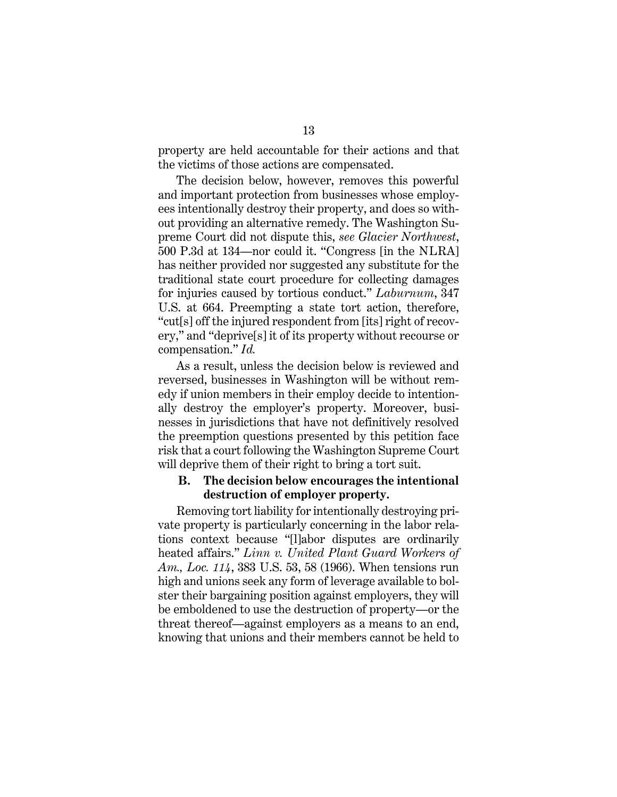property are held accountable for their actions and that the victims of those actions are compensated.

The decision below, however, removes this powerful and important protection from businesses whose employees intentionally destroy their property, and does so without providing an alternative remedy. The Washington Supreme Court did not dispute this, *see Glacier Northwest*, 500 P.3d at 134—nor could it. "Congress [in the NLRA] has neither provided nor suggested any substitute for the traditional state court procedure for collecting damages for injuries caused by tortious conduct." *Laburnum*, 347 U.S. at 664. Preempting a state tort action, therefore, "cut[s] off the injured respondent from [its] right of recovery," and "deprive[s] it of its property without recourse or compensation." *Id.* 

As a result, unless the decision below is reviewed and reversed, businesses in Washington will be without remedy if union members in their employ decide to intentionally destroy the employer's property. Moreover, businesses in jurisdictions that have not definitively resolved the preemption questions presented by this petition face risk that a court following the Washington Supreme Court will deprive them of their right to bring a tort suit.

#### <span id="page-18-0"></span>**B. The decision below encourages the intentional destruction of employer property.**

Removing tort liability for intentionally destroying private property is particularly concerning in the labor relations context because "[l]abor disputes are ordinarily heated affairs." *Linn v. United Plant Guard Workers of Am., Loc. 114*, 383 U.S. 53, 58 (1966). When tensions run high and unions seek any form of leverage available to bolster their bargaining position against employers, they will be emboldened to use the destruction of property—or the threat thereof—against employers as a means to an end, knowing that unions and their members cannot be held to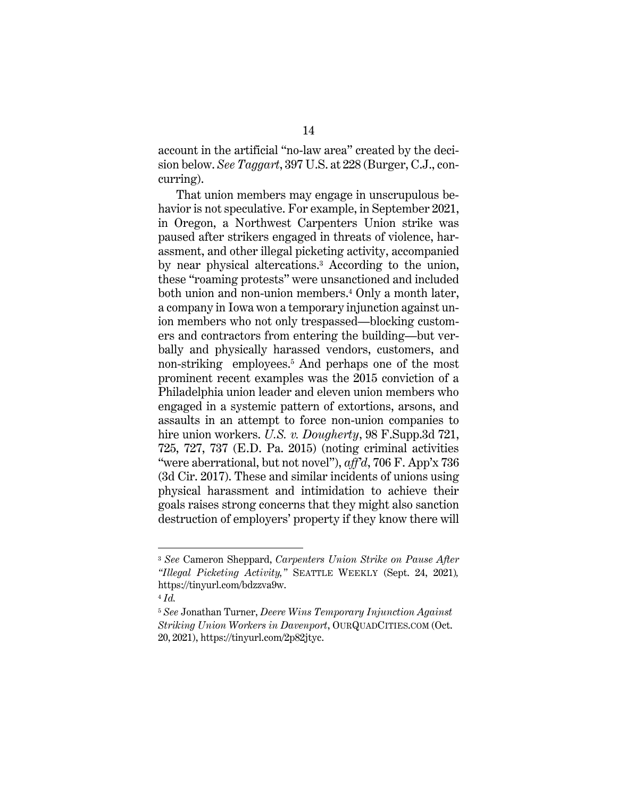account in the artificial "no-law area" created by the decision below. *See Taggart*, 397 U.S. at 228 (Burger, C.J., concurring).

That union members may engage in unscrupulous behavior is not speculative. For example, in September 2021, in Oregon, a Northwest Carpenters Union strike was paused after strikers engaged in threats of violence, harassment, and other illegal picketing activity, accompanied by near physical altercations. <sup>3</sup> According to the union, these "roaming protests" were unsanctioned and included both union and non-union members.<sup>4</sup> Only a month later, a company in Iowa won a temporary injunction against union members who not only trespassed—blocking customers and contractors from entering the building—but verbally and physically harassed vendors, customers, and non-striking employees. <sup>5</sup> And perhaps one of the most prominent recent examples was the 2015 conviction of a Philadelphia union leader and eleven union members who engaged in a systemic pattern of extortions, arsons, and assaults in an attempt to force non-union companies to hire union workers. *U.S. v. Dougherty*, 98 F.Supp.3d 721, 725, 727, 737 (E.D. Pa. 2015) (noting criminal activities "were aberrational, but not novel"), *aff'd*, 706 F. App'x 736 (3d Cir. 2017). These and similar incidents of unions using physical harassment and intimidation to achieve their goals raises strong concerns that they might also sanction destruction of employers' property if they know there will

<sup>3</sup> *See* Cameron Sheppard, *Carpenters Union Strike on Pause After "Illegal Picketing Activity,"* SEATTLE WEEKLY (Sept. 24, 2021)*,* https://tinyurl.com/bdzzva9w.

<sup>4</sup> *Id.*

<sup>5</sup> *See* Jonathan Turner, *Deere Wins Temporary Injunction Against Striking Union Workers in Davenport*, OURQUADCITIES.COM (Oct. 20, 2021), https://tinyurl.com/2p82jtyc.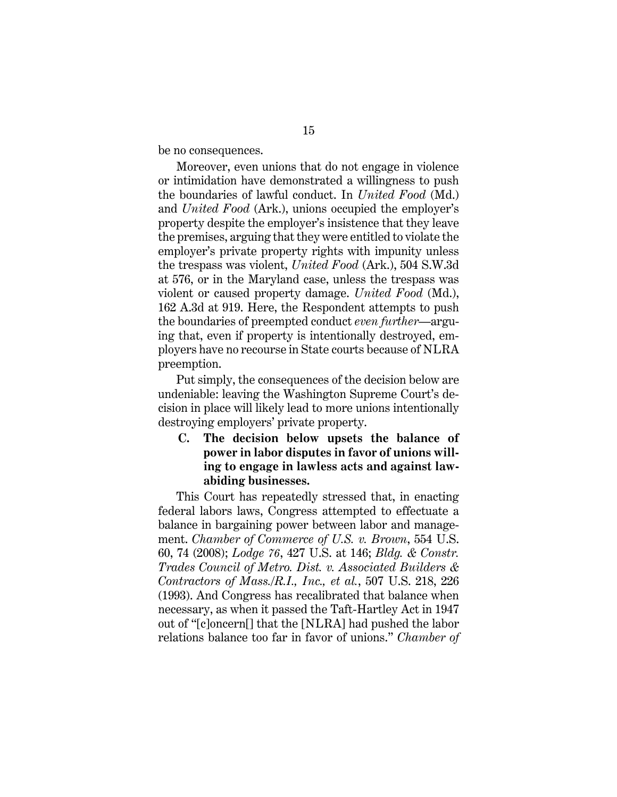be no consequences.

Moreover, even unions that do not engage in violence or intimidation have demonstrated a willingness to push the boundaries of lawful conduct. In *United Food* (Md.) and *United Food* (Ark.), unions occupied the employer's property despite the employer's insistence that they leave the premises, arguing that they were entitled to violate the employer's private property rights with impunity unless the trespass was violent, *United Food* (Ark.), 504 S.W.3d at 576, or in the Maryland case, unless the trespass was violent or caused property damage. *United Food* (Md.), 162 A.3d at 919. Here, the Respondent attempts to push the boundaries of preempted conduct *even further*—arguing that, even if property is intentionally destroyed, employers have no recourse in State courts because of NLRA preemption.

Put simply, the consequences of the decision below are undeniable: leaving the Washington Supreme Court's decision in place will likely lead to more unions intentionally destroying employers' private property.

<span id="page-20-0"></span>**C. The decision below upsets the balance of power in labor disputes in favor of unions willing to engage in lawless acts and against lawabiding businesses.** 

This Court has repeatedly stressed that, in enacting federal labors laws, Congress attempted to effectuate a balance in bargaining power between labor and management. *Chamber of Commerce of U.S. v. Brown*, 554 U.S. 60, 74 (2008); *Lodge 76*, 427 U.S. at 146; *Bldg. & Constr. Trades Council of Metro. Dist. v. Associated Builders & Contractors of Mass./R.I., Inc., et al.*, 507 U.S. 218, 226 (1993). And Congress has recalibrated that balance when necessary, as when it passed the Taft-Hartley Act in 1947 out of "[c]oncern[] that the [NLRA] had pushed the labor relations balance too far in favor of unions." *Chamber of*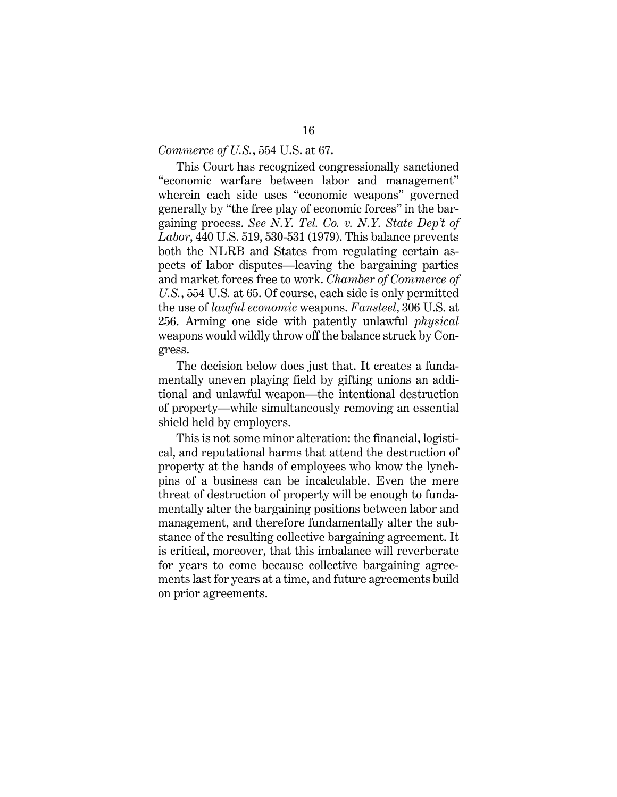#### *Commerce of U.S.*, 554 U.S. at 67.

This Court has recognized congressionally sanctioned "economic warfare between labor and management" wherein each side uses "economic weapons" governed generally by "the free play of economic forces" in the bargaining process. *See N.Y. Tel. Co. v. N.Y. State Dep't of Labor*, 440 U.S. 519, 530-531 (1979). This balance prevents both the NLRB and States from regulating certain aspects of labor disputes—leaving the bargaining parties and market forces free to work. *Chamber of Commerce of U.S.*, 554 U.S*.* at 65. Of course, each side is only permitted the use of *lawful economic* weapons. *Fansteel*, 306 U.S. at 256. Arming one side with patently unlawful *physical*  weapons would wildly throw off the balance struck by Congress.

The decision below does just that. It creates a fundamentally uneven playing field by gifting unions an additional and unlawful weapon—the intentional destruction of property—while simultaneously removing an essential shield held by employers.

This is not some minor alteration: the financial, logistical, and reputational harms that attend the destruction of property at the hands of employees who know the lynchpins of a business can be incalculable. Even the mere threat of destruction of property will be enough to fundamentally alter the bargaining positions between labor and management, and therefore fundamentally alter the substance of the resulting collective bargaining agreement. It is critical, moreover, that this imbalance will reverberate for years to come because collective bargaining agreements last for years at a time, and future agreements build on prior agreements.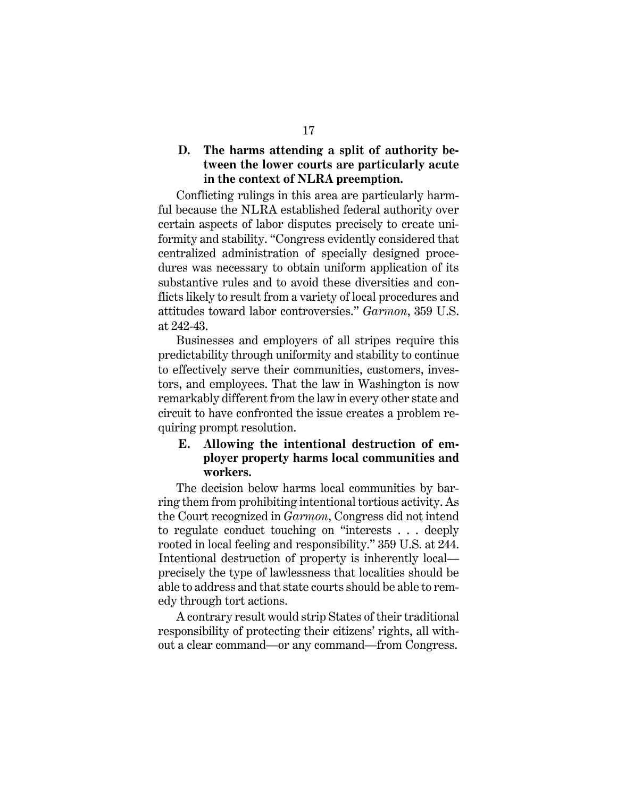#### <span id="page-22-0"></span>**D. The harms attending a split of authority between the lower courts are particularly acute in the context of NLRA preemption.**

Conflicting rulings in this area are particularly harmful because the NLRA established federal authority over certain aspects of labor disputes precisely to create uniformity and stability. "Congress evidently considered that centralized administration of specially designed procedures was necessary to obtain uniform application of its substantive rules and to avoid these diversities and conflicts likely to result from a variety of local procedures and attitudes toward labor controversies." *Garmon*, 359 U.S. at 242-43.

Businesses and employers of all stripes require this predictability through uniformity and stability to continue to effectively serve their communities, customers, investors, and employees. That the law in Washington is now remarkably different from the law in every other state and circuit to have confronted the issue creates a problem requiring prompt resolution.

### <span id="page-22-1"></span>**E. Allowing the intentional destruction of employer property harms local communities and workers.**

The decision below harms local communities by barring them from prohibiting intentional tortious activity. As the Court recognized in *Garmon*, Congress did not intend to regulate conduct touching on "interests . . . deeply rooted in local feeling and responsibility." 359 U.S. at 244. Intentional destruction of property is inherently local precisely the type of lawlessness that localities should be able to address and that state courts should be able to remedy through tort actions.

A contrary result would strip States of their traditional responsibility of protecting their citizens' rights, all without a clear command—or any command—from Congress.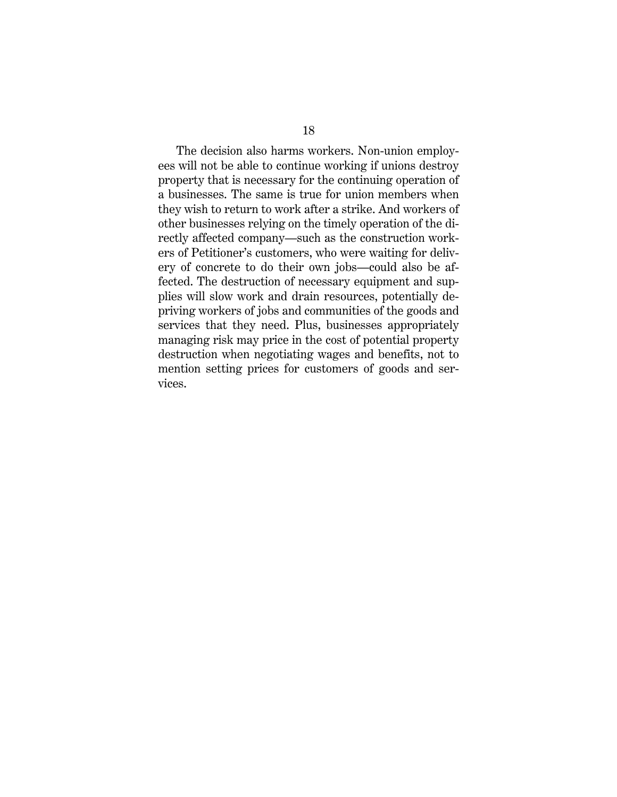The decision also harms workers. Non-union employees will not be able to continue working if unions destroy property that is necessary for the continuing operation of a businesses. The same is true for union members when they wish to return to work after a strike. And workers of other businesses relying on the timely operation of the directly affected company—such as the construction workers of Petitioner's customers, who were waiting for delivery of concrete to do their own jobs—could also be affected. The destruction of necessary equipment and supplies will slow work and drain resources, potentially depriving workers of jobs and communities of the goods and services that they need. Plus, businesses appropriately managing risk may price in the cost of potential property destruction when negotiating wages and benefits, not to mention setting prices for customers of goods and services.